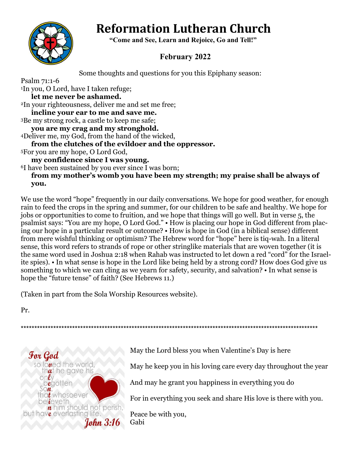# **Reformation Lutheran Church**



 **"Come and See, Learn and Rejoice, Go and Tell!"**

## **February 2022**

Some thoughts and questions for you this Epiphany season:

Psalm 71:1-6 <sup>1</sup>In you, O Lord, have I taken refuge; **let me never be ashamed.** <sup>2</sup>In your righteousness, deliver me and set me free; **incline your ear to me and save me.** <sup>3</sup>Be my strong rock, a castle to keep me safe; **you are my crag and my stronghold.** <sup>4</sup>Deliver me, my God, from the hand of the wicked, **from the clutches of the evildoer and the oppressor.** <sup>5</sup>For you are my hope, O Lord God, **my confidence since I was young.** <sup>6</sup>I have been sustained by you ever since I was born; **from my mother's womb you have been my strength; my praise shall be always of** 

**you.**

We use the word "hope" frequently in our daily conversations. We hope for good weather, for enough rain to feed the crops in the spring and summer, for our children to be safe and healthy. We hope for jobs or opportunities to come to fruition, and we hope that things will go well. But in verse 5, the psalmist says: "You are my hope, O Lord God." • How is placing our hope in God different from placing our hope in a particular result or outcome? • How is hope in God (in a biblical sense) different from mere wishful thinking or optimism? The Hebrew word for "hope" here is tiq-wah. In a literal sense, this word refers to strands of rope or other stringlike materials that are woven together (it is the same word used in Joshua 2:18 when Rahab was instructed to let down a red "cord" for the Israelite spies). • In what sense is hope in the Lord like being held by a strong cord? How does God give us something to which we can cling as we yearn for safety, security, and salvation? • In what sense is hope the "future tense" of faith? (See Hebrews 11.)

\*\*\*\*\*\*\*\*\*\*\*\*\*\*\*\*\*\*\*\*\*\*\*\*\*\*\*\*\*\*\*\*\*\*\*\*\*\*\*\*\*\*\*\*\*\*\*\*\*\*\*\*\*\*\*\*\*\*\*\*\*\*\*\*\*\*\*\*\*\*\*\*\*\*\*\*\*\*\*\*\*\*\*\*\*\*\*\*\*\*\*\*\*\*\*\*\*\*\*\*\*\*\*\*\*\*\*\*\*\*

(Taken in part from the Sola Worship Resources website).

Pr.



May the Lord bless you when Valentine's Day is here

May he keep you in his loving care every day throughout the year

And may he grant you happiness in everything you do

For in everything you seek and share His love is there with you.

Peace be with you, Gabi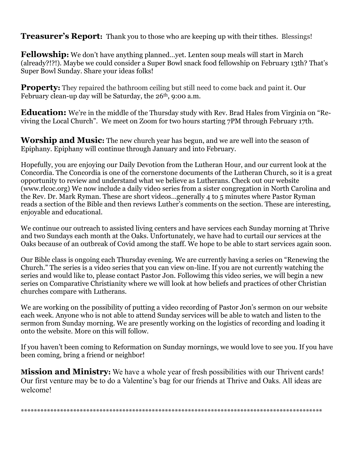**Treasurer's Report:** Thank you to those who are keeping up with their tithes. Blessings!

**Fellowship:** We don't have anything planned…yet. Lenten soup meals will start in March (already?!?!). Maybe we could consider a Super Bowl snack food fellowship on February 13th? That's Super Bowl Sunday. Share your ideas folks!

**Property:** They repaired the bathroom ceiling but still need to come back and paint it. Our February clean-up day will be Saturday, the 26<sup>th</sup>, 9:00 a.m.

**Education:** We're in the middle of the Thursday study with Rev. Brad Hales from Virginia on "Reviving the Local Church". We meet on Zoom for two hours starting 7PM through February 17th.

**Worship and Music:** The new church year has begun, and we are well into the season of Epiphany. Epiphany will continue through January and into February.

Hopefully, you are enjoying our Daily Devotion from the Lutheran Hour, and our current look at the Concordia. The Concordia is one of the cornerstone documents of the Lutheran Church, so it is a great opportunity to review and understand what we believe as Lutherans. Check out our website (www.rlcoc.org) We now include a daily video series from a sister congregation in North Carolina and the Rev. Dr. Mark Ryman. These are short videos…generally 4 to 5 minutes where Pastor Ryman reads a section of the Bible and then reviews Luther's comments on the section. These are interesting, enjoyable and educational.

We continue our outreach to assisted living centers and have services each Sunday morning at Thrive and two Sundays each month at the Oaks. Unfortunately, we have had to curtail our services at the Oaks because of an outbreak of Covid among the staff. We hope to be able to start services again soon.

Our Bible class is ongoing each Thursday evening. We are currently having a series on "Renewing the Church." The series is a video series that you can view on-line. If you are not currently watching the series and would like to, please contact Pastor Jon. Followimg this video series, we will begin a new series on Comparative Christianity where we will look at how beliefs and practices of other Christian churches compare with Lutherans.

We are working on the possibility of putting a video recording of Pastor Jon's sermon on our website each week. Anyone who is not able to attend Sunday services will be able to watch and listen to the sermon from Sunday morning. We are presently working on the logistics of recording and loading it onto the website. More on this will follow.

If you haven't been coming to Reformation on Sunday mornings, we would love to see you. If you have been coming, bring a friend or neighbor!

**Mission and Ministry:** We have a whole year of fresh possibilities with our Thrivent cards! Our first venture may be to do a Valentine's bag for our friends at Thrive and Oaks. All ideas are welcome!

\*\*\*\*\*\*\*\*\*\*\*\*\*\*\*\*\*\*\*\*\*\*\*\*\*\*\*\*\*\*\*\*\*\*\*\*\*\*\*\*\*\*\*\*\*\*\*\*\*\*\*\*\*\*\*\*\*\*\*\*\*\*\*\*\*\*\*\*\*\*\*\*\*\*\*\*\*\*\*\*\*\*\*\*\*\*\*\*\*\*\*\*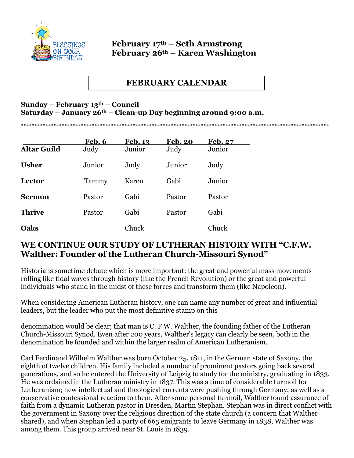

#### **February 17th – Seth Armstrong February 26th – Karen Washington**

## **FEBRUARY CALENDAR**

\*\*\*\*\*\*\*\*\*\*\*\*\*\*\*\*\*\*\*\*\*\*\*\*\*\*\*\*\*\*\*\*\*\*\*\*\*\*\*\*\*\*\*\*\*\*\*\*\*\*\*\*\*\*\*\*\*\*\*\*\*\*\*\*\*\*\*\*\*\*\*\*\*\*\*\*\*\*\*\*\*\*\*\*\*\*\*\*\*\*\*\*\*\*\*\*\*\*\*\*\*\*\*\*\*\*\*\*\*\*\*\*\*

#### **Sunday – February 13th – Council Saturday – January 26th – Clean-up Day beginning around 9:00 a.m.**

|                    | Feb. 6 | <b>Feb. 13</b> | <b>Feb. 20</b> | <b>Feb. 27</b> |
|--------------------|--------|----------------|----------------|----------------|
| <b>Altar Guild</b> | Judy   | Junior         | Judy           | Junior         |
| <b>Usher</b>       | Junior | Judy           | Junior         | Judy           |
| <b>Lector</b>      | Tammy  | Karen          | Gabi           | Junior         |
| <b>Sermon</b>      | Pastor | Gabi           | Pastor         | Pastor         |
| <b>Thrive</b>      | Pastor | Gabi           | Pastor         | Gabi           |
| Oaks               |        | Chuck          |                | Chuck          |

### **WE CONTINUE OUR STUDY OF LUTHERAN HISTORY WITH "C.F.W. Walther: Founder of the Lutheran Church-Missouri Synod"**

Historians sometime debate which is more important: the great and powerful mass movements rolling like tidal waves through history (like the French Revolution) or the great and powerful individuals who stand in the midst of these forces and transform them (like Napoleon).

When considering American Lutheran history, one can name any number of great and influential leaders, but the leader who put the most definitive stamp on this

denomination would be clear; that man is C. F W. Walther, the founding father of the Lutheran Church-Missouri Synod. Even after 200 years, Walther's legacy can clearly be seen, both in the denomination he founded and within the larger realm of American Lutheranism.

Carl Ferdinand Wilhelm Walther was born October 25, 1811, in the German state of Saxony, the eighth of twelve children. His family included a number of prominent pastors going back several generations, and so he entered the University of Leipzig to study for the ministry, graduating in 1833. He was ordained in the Lutheran ministry in 1837. This was a time of considerable turmoil for Lutheranism; new intellectual and theological currents were pushing through Germany, as well as a conservative confessional reaction to them. After some personal turmoil, Walther found assurance of faith from a dynamic Lutheran pastor in Dresden, Martin Stephan. Stephan was in direct conflict with the government in Saxony over the religious direction of the state church (a concern that Walther shared), and when Stephan led a party of 665 emigrants to leave Germany in 1838, Walther was among them. This group arrived near St. Louis in 1839.